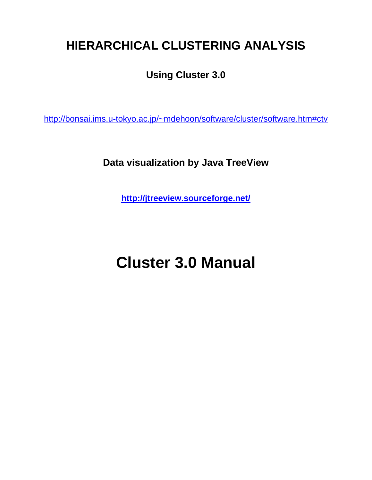# **HIERARCHICAL CLUSTERING ANALYSIS**

## **Using Cluster 3.0**

http://bonsai.ims.u-tokyo.ac.jp/~mdehoon/software/cluster/software.htm#ctv

**Data visualization by Java TreeView** 

**http://jtreeview.sourceforge.net/**

# **Cluster 3.0 Manual**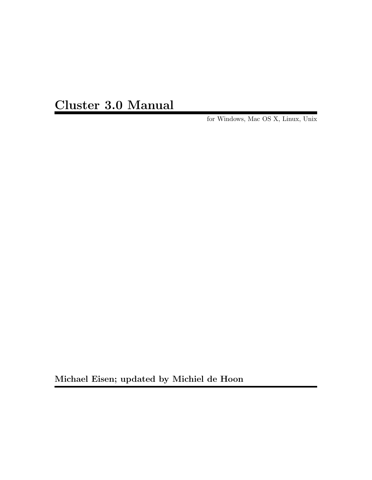Cluster 3.0 Manual

for Windows, Mac OS X, Linux, Unix

Michael Eisen; updated by Michiel de Hoon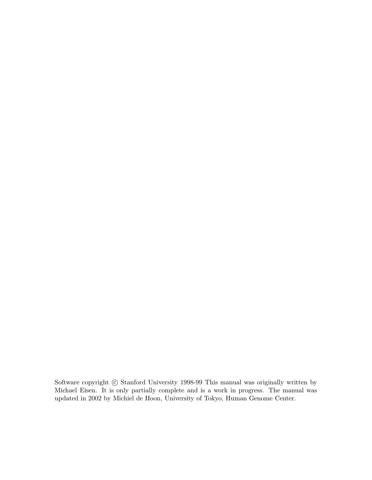Software copyright  $\odot$  Stanford University 1998-99 This manual was originally written by Michael Eisen. It is only partially complete and is a work in progress. The manual was updated in 2002 by Michiel de Hoon, University of Tokyo, Human Genome Center.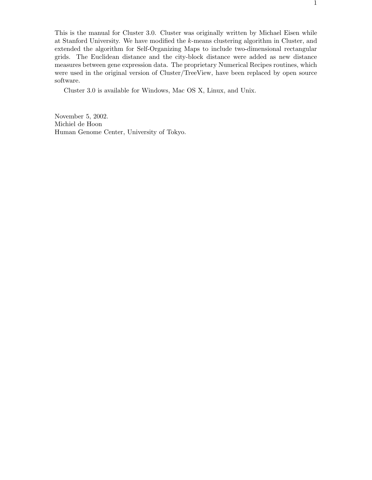This is the manual for Cluster 3.0. Cluster was originally written by Michael Eisen while at Stanford University. We have modified the k-means clustering algorithm in Cluster, and extended the algorithm for Self-Organizing Maps to include two-dimensional rectangular grids. The Euclidean distance and the city-block distance were added as new distance measures between gene expression data. The proprietary Numerical Recipes routines, which were used in the original version of Cluster/TreeView, have been replaced by open source software.

Cluster 3.0 is available for Windows, Mac OS X, Linux, and Unix.

November 5, 2002. Michiel de Hoon Human Genome Center, University of Tokyo.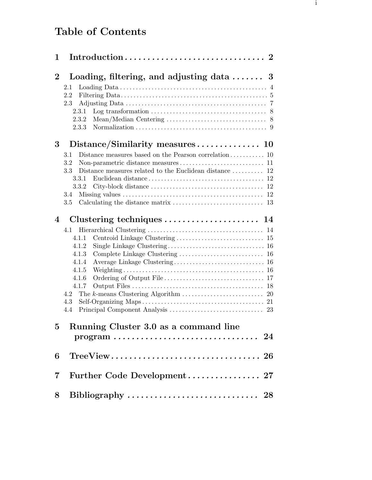## Table of Contents

| 1              |                                                                                                                                                                                    |  |
|----------------|------------------------------------------------------------------------------------------------------------------------------------------------------------------------------------|--|
| $\overline{2}$ | Loading, filtering, and adjusting data  3<br>2.1<br>2.2<br>2.3<br>Log transformation $\ldots \ldots \ldots \ldots \ldots \ldots \ldots \ldots \ldots$ 8<br>2.3.1<br>2.3.2<br>2.3.3 |  |
| 3              |                                                                                                                                                                                    |  |
|                | 3.1<br>3.2<br>Distance measures related to the Euclidean distance  12<br>3.3<br>3.3.1<br>3.3.2<br>3.4<br>3.5                                                                       |  |
| 4              | Clustering techniques $\ldots \ldots \ldots \ldots \ldots \ldots 14$                                                                                                               |  |
|                | 4.1<br>4.1.1<br>4.1.2<br>4.1.3<br>4.1.4<br>4.1.5<br>4.1.6<br>4.1.7<br>4.2<br>4.3<br>4.4                                                                                            |  |
| $\overline{5}$ | Running Cluster 3.0 as a command line<br>$\text{program} \dots \dots \dots \dots \dots \dots \dots \dots \dots \dots \dots \quad 24$                                               |  |
| 6              | $TreeView \ldots \ldots \ldots \ldots \ldots \ldots \ldots \ldots \ldots 26$                                                                                                       |  |
| $\overline{7}$ |                                                                                                                                                                                    |  |
| 8              |                                                                                                                                                                                    |  |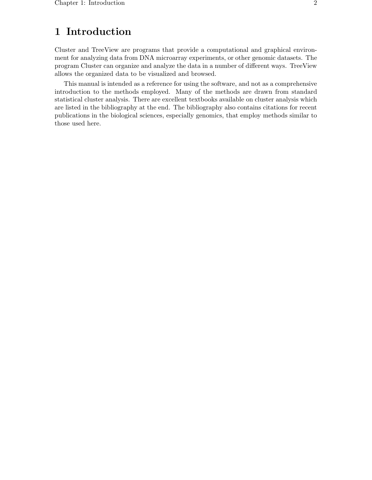## 1 Introduction

Cluster and TreeView are programs that provide a computational and graphical environment for analyzing data from DNA microarray experiments, or other genomic datasets. The program Cluster can organize and analyze the data in a number of different ways. TreeView allows the organized data to be visualized and browsed.

This manual is intended as a reference for using the software, and not as a comprehensive introduction to the methods employed. Many of the methods are drawn from standard statistical cluster analysis. There are excellent textbooks available on cluster analysis which are listed in the bibliography at the end. The bibliography also contains citations for recent publications in the biological sciences, especially genomics, that employ methods similar to those used here.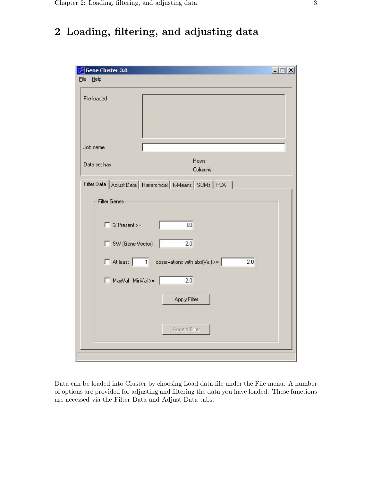## 2 Loading, filtering, and adjusting data

| File loaded           |                                                                 |  |
|-----------------------|-----------------------------------------------------------------|--|
| Job name              |                                                                 |  |
| Data set has          | Rows<br>Columns                                                 |  |
| <b>Filter Genes</b>   | Filter Data   Adjust Data   Hierarchical   k-Means   SOMs   PCA |  |
| $\Gamma$ % Present >= | 80                                                              |  |
| □ SW (Gene Vector)    | 2.0                                                             |  |
|                       | $\Box$ At least   1 observations with abs(Val) >=<br>2.0        |  |
| MaxVal - MinVal >=    | 2.0                                                             |  |
|                       | Apply Filter                                                    |  |
|                       | Accept Filter                                                   |  |

Data can be loaded into Cluster by choosing Load data file under the File menu. A number of options are provided for adjusting and filtering the data you have loaded. These functions are accessed via the Filter Data and Adjust Data tabs.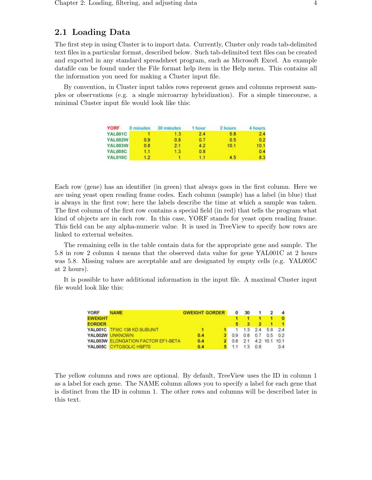## 2.1 Loading Data

The first step in using Cluster is to import data. Currently, Cluster only reads tab-delimited text files in a particular format, described below. Such tab-delimited text files can be created and exported in any standard spreadsheet program, such as Microsoft Excel. An example datafile can be found under the File format help item in the Help menu. This contains all the information you need for making a Cluster input file.

By convention, in Cluster input tables rows represent genes and columns represent samples or observations (e.g. a single microarray hybridization). For a simple timecourse, a minimal Cluster input file would look like this:

| YORF           | 0 minutes | 30 minutes | 1 hour | 2 hours | 4 hours |
|----------------|-----------|------------|--------|---------|---------|
| YAL001C        |           | 13         | 2.4    | 5.8     | 2.4     |
| <b>YAL002W</b> | 0.9       | 0.8        | 0.7    | 0.5     | 0.2     |
| YAL003W        | 0.8       | 2.1        | 4.2    | 10.1    | 10.1    |
| <b>YAL005C</b> | 1.1.      | 1.3        | 0.8    |         | 0.4     |
| <b>YAL010C</b> | 12        |            | ោ      | 45      | 8.3     |

Each row (gene) has an identifier (in green) that always goes in the first column. Here we are using yeast open reading frame codes. Each column (sample) has a label (in blue) that is always in the first row; here the labels describe the time at which a sample was taken. The first column of the first row contains a special field (in red) that tells the program what kind of objects are in each row. In this case, YORF stands for yeast open reading frame. This field can be any alpha-numeric value. It is used in TreeView to specify how rows are linked to external websites.

The remaining cells in the table contain data for the appropriate gene and sample. The 5.8 in row 2 column 4 means that the observed data value for gene YAL001C at 2 hours was 5.8. Missing values are acceptable and are designated by empty cells (e.g. YAL005C at 2 hours).

It is possible to have additional information in the input file. A maximal Cluster input file would look like this:

| <b>YORF</b>    | <b>NAME</b>                         | <b>GWEIGHT GORDER</b> | $^{\circ}$ | -30    |         |                  | $\mathbf{A}$ |
|----------------|-------------------------------------|-----------------------|------------|--------|---------|------------------|--------------|
| <b>EWEIGHT</b> |                                     |                       |            |        |         |                  | $\mathbf{0}$ |
| <b>EORDER</b>  |                                     |                       |            |        |         |                  |              |
|                | YALO01C TFIIIC 138 KD SUBUNIT       |                       |            |        |         | $13$ 2.4 5.8 2.4 |              |
|                | YAL002W UNKNOWN                     | 0.4                   | 3 0.9      |        | 0.8 0.7 |                  | $0.5 \t0.2$  |
|                | YAL003W ELONGATION FACTOR EF1-BETA. | 0.4                   | 0.8        | $-2.1$ |         | 4.2 10.1 10.1    |              |
|                | YAL005C CYTOSOLIC HSP70             | 0.4                   |            | 1.3    | 0.8     |                  | 0.4          |

The yellow columns and rows are optional. By default, TreeView uses the ID in column 1 as a label for each gene. The NAME column allows you to specify a label for each gene that is distinct from the ID in column 1. The other rows and columns will be described later in this text.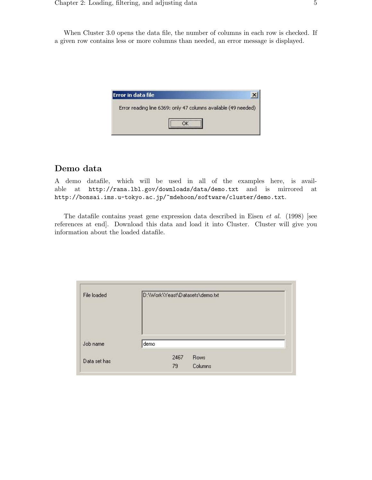When Cluster 3.0 opens the data file, the number of columns in each row is checked. If a given row contains less or more columns than needed, an error message is displayed.



## Demo data

A demo datafile, which will be used in all of the examples here, is available at http://rana.lbl.gov/downloads/data/demo.txt and is mirrored at http://bonsai.ims.u-tokyo.ac.jp/~mdehoon/software/cluster/demo.txt.

The datafile contains yeast gene expression data described in Eisen et al. (1998) [see references at end]. Download this data and load it into Cluster. Cluster will give you information about the loaded datafile.

| File loaded |      |      | D:\Work\Yeast\Datasets\demo.txt |  |
|-------------|------|------|---------------------------------|--|
| Job name    | demo |      |                                 |  |
|             |      | 2467 | <b>Rows</b>                     |  |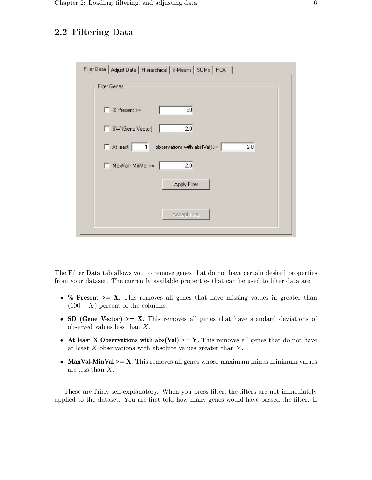## 2.2 Filtering Data

| $\Gamma$ % Present >=                      | 80                                           |
|--------------------------------------------|----------------------------------------------|
| □ SW (Gene Vector)                         | 2.0                                          |
| $\Box$ At least<br>$\overline{\mathbb{1}}$ | observations with abs(Val) >= $\vert$<br>2.0 |
| MaxVal - MinVal >=                         | 2.0                                          |
|                                            | Apply Filter                                 |

The Filter Data tab allows you to remove genes that do not have certain desired properties from your dataset. The currently available properties that can be used to filter data are

- $\%$  Present >= X. This removes all genes that have missing values in greater than  $(100 - X)$  percent of the columns.
- SD (Gene Vector)  $>= X$ . This removes all genes that have standard deviations of observed values less than X.
- At least X Observations with abs(Val)  $\geq$  Y. This removes all genes that do not have at least  $X$  observations with absolute values greater than  $Y$ .
- MaxVal-MinVal  $\geq X$ . This removes all genes whose maximum minus minimum values are less than X.

These are fairly self-explanatory. When you press filter, the filters are not immediately applied to the dataset. You are first told how many genes would have passed the filter. If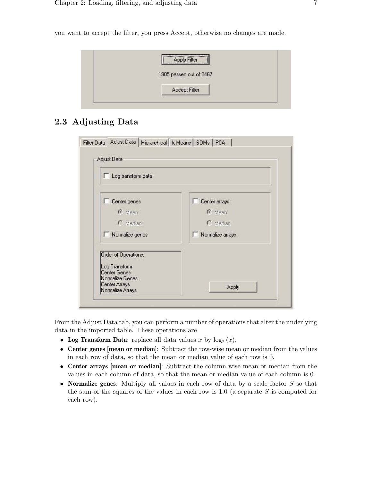you want to accept the filter, you press Accept, otherwise no changes are made.



## 2.3 Adjusting Data

| Log transform data   |                    |  |  |
|----------------------|--------------------|--|--|
| Center genes         | Center arrays<br>n |  |  |
| <b>C</b> Mean        | <b>C</b> Mean      |  |  |
| $C$ Median           | C Median           |  |  |
| Normalize genes      | Normalize arrays   |  |  |
| Order of Operations: |                    |  |  |
| Log Transform        |                    |  |  |
| Center Genes         |                    |  |  |

From the Adjust Data tab, you can perform a number of operations that alter the underlying data in the imported table. These operations are

- Log Transform Data: replace all data values x by  $log_2(x)$ .
- Center genes [mean or median]: Subtract the row-wise mean or median from the values in each row of data, so that the mean or median value of each row is 0.
- Center arrays [mean or median]: Subtract the column-wise mean or median from the values in each column of data, so that the mean or median value of each column is 0.
- Normalize genes: Multiply all values in each row of data by a scale factor S so that the sum of the squares of the values in each row is  $1.0$  (a separate S is computed for each row).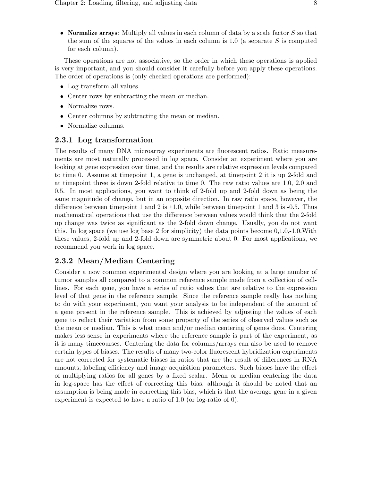• Normalize arrays: Multiply all values in each column of data by a scale factor  $S$  so that the sum of the squares of the values in each column is 1.0 (a separate  $S$  is computed for each column).

These operations are not associative, so the order in which these operations is applied is very important, and you should consider it carefully before you apply these operations. The order of operations is (only checked operations are performed):

- Log transform all values.
- Center rows by subtracting the mean or median.
- Normalize rows.
- Center columns by subtracting the mean or median.
- Normalize columns.

### 2.3.1 Log transformation

The results of many DNA microarray experiments are fluorescent ratios. Ratio measurements are most naturally processed in log space. Consider an experiment where you are looking at gene expression over time, and the results are relative expression levels compared to time 0. Assume at timepoint 1, a gene is unchanged, at timepoint 2 it is up 2-fold and at timepoint three is down 2-fold relative to time 0. The raw ratio values are 1.0, 2.0 and 0.5. In most applications, you want to think of 2-fold up and 2-fold down as being the same magnitude of change, but in an opposite direction. In raw ratio space, however, the difference between timepoint 1 and 2 is +1.0, while between timepoint 1 and 3 is -0.5. Thus mathematical operations that use the difference between values would think that the 2-fold up change was twice as significant as the 2-fold down change. Usually, you do not want this. In log space (we use log base 2 for simplicity) the data points become 0,1.0,-1.0.With these values, 2-fold up and 2-fold down are symmetric about 0. For most applications, we recommend you work in log space.

## 2.3.2 Mean/Median Centering

Consider a now common experimental design where you are looking at a large number of tumor samples all compared to a common reference sample made from a collection of celllines. For each gene, you have a series of ratio values that are relative to the expression level of that gene in the reference sample. Since the reference sample really has nothing to do with your experiment, you want your analysis to be independent of the amount of a gene present in the reference sample. This is achieved by adjusting the values of each gene to reflect their variation from some property of the series of observed values such as the mean or median. This is what mean and/or median centering of genes does. Centering makes less sense in experiments where the reference sample is part of the experiment, as it is many timecourses. Centering the data for columns/arrays can also be used to remove certain types of biases. The results of many two-color fluorescent hybridization experiments are not corrected for systematic biases in ratios that are the result of differences in RNA amounts, labeling efficiency and image acquisition parameters. Such biases have the effect of multiplying ratios for all genes by a fixed scalar. Mean or median centering the data in log-space has the effect of correcting this bias, although it should be noted that an assumption is being made in correcting this bias, which is that the average gene in a given experiment is expected to have a ratio of 1.0 (or log-ratio of 0).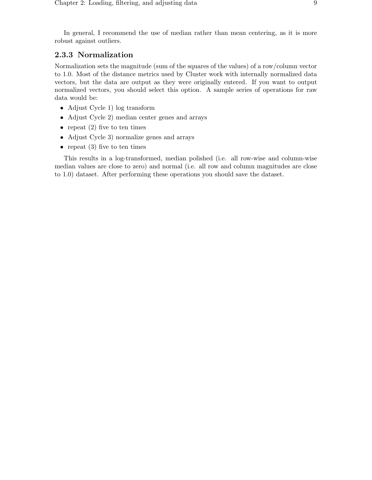In general, I recommend the use of median rather than mean centering, as it is more robust against outliers.

### 2.3.3 Normalization

Normalization sets the magnitude (sum of the squares of the values) of a row/column vector to 1.0. Most of the distance metrics used by Cluster work with internally normalized data vectors, but the data are output as they were originally entered. If you want to output normalized vectors, you should select this option. A sample series of operations for raw data would be:

- Adjust Cycle 1) log transform
- Adjust Cycle 2) median center genes and arrays
- repeat  $(2)$  five to ten times
- Adjust Cycle 3) normalize genes and arrays
- repeat  $(3)$  five to ten times

This results in a log-transformed, median polished (i.e. all row-wise and column-wise median values are close to zero) and normal (i.e. all row and column magnitudes are close to 1.0) dataset. After performing these operations you should save the dataset.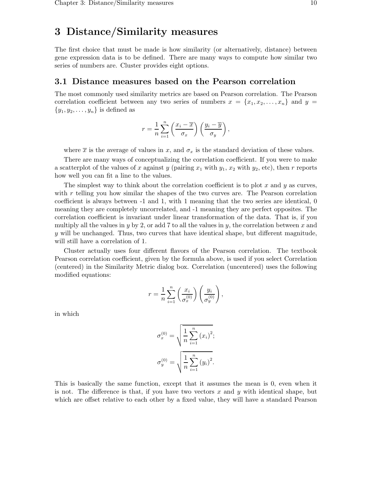## 3 Distance/Similarity measures

The first choice that must be made is how similarity (or alternatively, distance) between gene expression data is to be defined. There are many ways to compute how similar two series of numbers are. Cluster provides eight options.

#### 3.1 Distance measures based on the Pearson correlation

The most commonly used similarity metrics are based on Pearson correlation. The Pearson correlation coefficient between any two series of numbers  $x = \{x_1, x_2, \ldots, x_n\}$  and  $y =$  ${y_1, y_2, \ldots, y_n}$  is defined as

$$
r = \frac{1}{n} \sum_{i=1}^{n} \left( \frac{x_i - \overline{x}}{\sigma_x} \right) \left( \frac{y_i - \overline{y}}{\sigma_y} \right),
$$

where  $\bar{x}$  is the average of values in x, and  $\sigma_x$  is the standard deviation of these values.

There are many ways of conceptualizing the correlation coefficient. If you were to make a scatterplot of the values of x against y (pairing  $x_1$  with  $y_1, x_2$  with  $y_2$ , etc), then r reports how well you can fit a line to the values.

The simplest way to think about the correlation coefficient is to plot x and y as curves, with  $r$  telling you how similar the shapes of the two curves are. The Pearson correlation coefficient is always between -1 and 1, with 1 meaning that the two series are identical, 0 meaning they are completely uncorrelated, and -1 meaning they are perfect opposites. The correlation coefficient is invariant under linear transformation of the data. That is, if you multiply all the values in y by 2, or add 7 to all the values in y, the correlation between x and  $y$  will be unchanged. Thus, two curves that have identical shape, but different magnitude, will still have a correlation of 1.

Cluster actually uses four different flavors of the Pearson correlation. The textbook Pearson correlation coefficient, given by the formula above, is used if you select Correlation (centered) in the Similarity Metric dialog box. Correlation (uncentered) uses the following modified equations:

$$
r = \frac{1}{n} \sum_{i=1}^{n} \left( \frac{x_i}{\sigma_x^{(0)}} \right) \left( \frac{y_i}{\sigma_y^{(0)}} \right),
$$

in which

$$
\sigma_x^{(0)} = \sqrt{\frac{1}{n} \sum_{i=1}^n (x_i)^2};
$$

$$
\sigma_y^{(0)} = \sqrt{\frac{1}{n} \sum_{i=1}^n (y_i)^2}.
$$

This is basically the same function, except that it assumes the mean is 0, even when it is not. The difference is that, if you have two vectors x and y with identical shape, but which are offset relative to each other by a fixed value, they will have a standard Pearson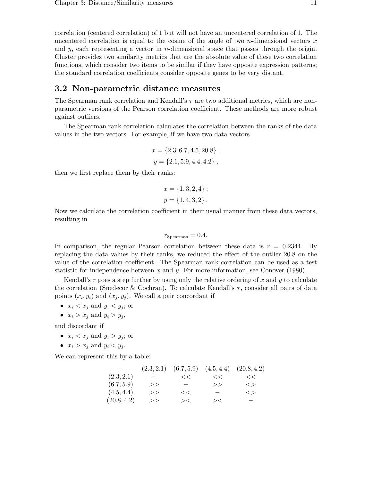correlation (centered correlation) of 1 but will not have an uncentered correlation of 1. The uncentered correlation is equal to the cosine of the angle of two *n*-dimensional vectors x and y, each representing a vector in *n*-dimensional space that passes through the origin. Cluster provides two similarity metrics that are the absolute value of these two correlation functions, which consider two items to be similar if they have opposite expression patterns; the standard correlation coefficients consider opposite genes to be very distant.

### 3.2 Non-parametric distance measures

The Spearman rank correlation and Kendall's τ are two additional metrics, which are nonparametric versions of the Pearson correlation coefficient. These methods are more robust against outliers.

The Spearman rank correlation calculates the correlation between the ranks of the data values in the two vectors. For example, if we have two data vectors

$$
x = \{2.3, 6.7, 4.5, 20.8\};
$$
  

$$
y = \{2.1, 5.9, 4.4, 4.2\},
$$

then we first replace them by their ranks:

$$
x = \{1, 3, 2, 4\};
$$
  

$$
y = \{1, 4, 3, 2\}.
$$

Now we calculate the correlation coefficient in their usual manner from these data vectors, resulting in

$$
r_{\rm Spearman} = 0.4.
$$

In comparison, the regular Pearson correlation between these data is  $r = 0.2344$ . By replacing the data values by their ranks, we reduced the effect of the outlier 20.8 on the value of the correlation coefficient. The Spearman rank correlation can be used as a test statistic for independence between x and y. For more information, see Conover (1980).

Kendall's  $\tau$  goes a step further by using only the relative ordering of x and y to calculate the correlation (Snedecor & Cochran). To calculate Kendall's  $\tau$ , consider all pairs of data points  $(x_i, y_i)$  and  $(x_j, y_j)$ . We call a pair concordant if

- $x_i < x_j$  and  $y_i < y_j$ ; or
- $x_i > x_j$  and  $y_i > y_j$ ,

and discordant if

- $x_i < x_j$  and  $y_i > y_j$ ; or
- $x_i > x_j$  and  $y_i < y_j$ .

We can represent this by a table:

|             | (2.3, 2.1)               | (6.7, 5.9)               |        | $(4.5, 4.4)$ $(20.8, 4.2)$ |
|-------------|--------------------------|--------------------------|--------|----------------------------|
| (2.3, 2.1)  | $\overline{\phantom{0}}$ | <<                       | <<     | <<                         |
| (6.7, 5.9)  | >>                       | $\overline{\phantom{m}}$ | >>     | $\langle$                  |
| (4.5, 4.4)  | >>                       | <<                       |        | $\mathord{<}$              |
| (20.8, 4.2) | >>                       | $>\lt$                   | $>\lt$ | $\overline{\phantom{0}}$   |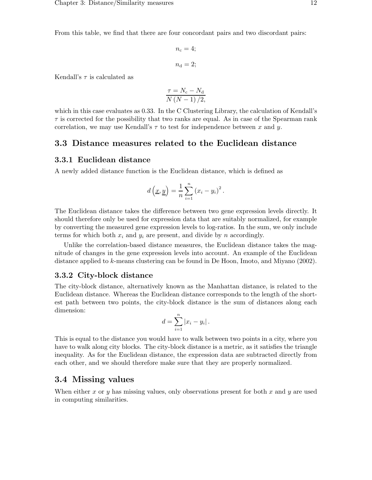From this table, we find that there are four concordant pairs and two discordant pairs:

$$
n_{\rm c} = 4;
$$
  

$$
n_{\rm d} = 2;
$$

Kendall's  $\tau$  is calculated as

$$
\frac{\tau = N_{\rm c} - N_{\rm d}}{N\left(N - 1\right)/2},
$$

which in this case evaluates as 0.33. In the C Clustering Library, the calculation of Kendall's  $\tau$  is corrected for the possibility that two ranks are equal. As in case of the Spearman rank correlation, we may use Kendall's  $\tau$  to test for independence between x and y.

#### 3.3 Distance measures related to the Euclidean distance

### 3.3.1 Euclidean distance

A newly added distance function is the Euclidean distance, which is defined as

$$
d\left(\underline{x}, \underline{y}\right) = \frac{1}{n} \sum_{i=1}^{n} \left(x_i - y_i\right)^2.
$$

The Euclidean distance takes the difference between two gene expression levels directly. It should therefore only be used for expression data that are suitably normalized, for example by converting the measured gene expression levels to log-ratios. In the sum, we only include terms for which both  $x_i$  and  $y_i$  are present, and divide by n accordingly.

Unlike the correlation-based distance measures, the Euclidean distance takes the magnitude of changes in the gene expression levels into account. An example of the Euclidean distance applied to k-means clustering can be found in De Hoon, Imoto, and Miyano (2002).

#### 3.3.2 City-block distance

The city-block distance, alternatively known as the Manhattan distance, is related to the Euclidean distance. Whereas the Euclidean distance corresponds to the length of the shortest path between two points, the city-block distance is the sum of distances along each dimension:

$$
d=\sum_{i=1}^n|x_i-y_i|.
$$

This is equal to the distance you would have to walk between two points in a city, where you have to walk along city blocks. The city-block distance is a metric, as it satisfies the triangle inequality. As for the Euclidean distance, the expression data are subtracted directly from each other, and we should therefore make sure that they are properly normalized.

## 3.4 Missing values

When either x or y has missing values, only observations present for both x and y are used in computing similarities.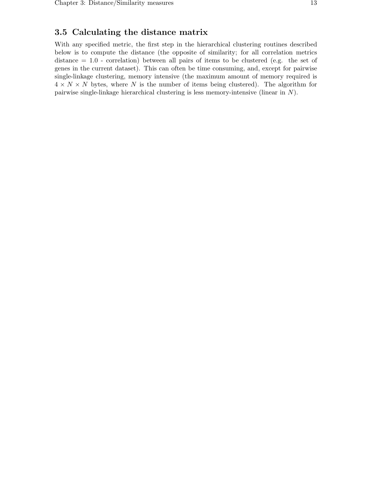## 3.5 Calculating the distance matrix

With any specified metric, the first step in the hierarchical clustering routines described below is to compute the distance (the opposite of similarity; for all correlation metrics distance = 1.0 - correlation) between all pairs of items to be clustered (e.g. the set of genes in the current dataset). This can often be time consuming, and, except for pairwise single-linkage clustering, memory intensive (the maximum amount of memory required is  $4 \times N \times N$  bytes, where N is the number of items being clustered). The algorithm for pairwise single-linkage hierarchical clustering is less memory-intensive (linear in N).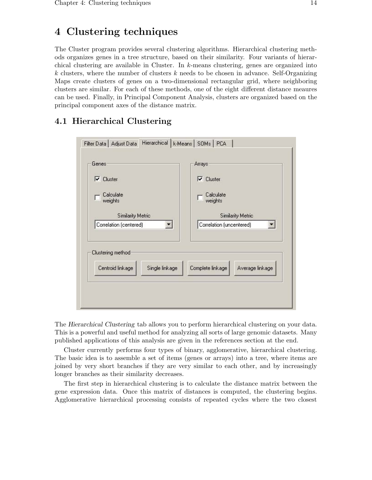## 4 Clustering techniques

The Cluster program provides several clustering algorithms. Hierarchical clustering methods organizes genes in a tree structure, based on their similarity. Four variants of hierarchical clustering are available in Cluster. In  $k$ -means clustering, genes are organized into  $k$  clusters, where the number of clusters  $k$  needs to be chosen in advance. Self-Organizing Maps create clusters of genes on a two-dimensional rectangular grid, where neighboring clusters are similar. For each of these methods, one of the eight different distance meaures can be used. Finally, in Principal Component Analysis, clusters are organized based on the principal component axes of the distance matrix.

## 4.1 Hierarchical Clustering

|                                    | <b>Arrays:</b>                      |  |
|------------------------------------|-------------------------------------|--|
| Cluster<br>⊽                       | $\nabla$ Cluster                    |  |
| Calculate<br>weights               | Calculate<br>weights                |  |
| <b>Similarity Metric</b>           | <b>Similarity Metric</b>            |  |
| Correlation (centered)             | Correlation (uncentered)            |  |
|                                    |                                     |  |
| Clustering method                  |                                     |  |
| Centroid linkage<br>Single linkage | Complete linkage<br>Average linkage |  |
|                                    |                                     |  |

The Hierarchical Clustering tab allows you to perform hierarchical clustering on your data. This is a powerful and useful method for analyzing all sorts of large genomic datasets. Many published applications of this analysis are given in the references section at the end.

Cluster currently performs four types of binary, agglomerative, hierarchical clustering. The basic idea is to assemble a set of items (genes or arrays) into a tree, where items are joined by very short branches if they are very similar to each other, and by increasingly longer branches as their similarity decreases.

The first step in hierarchical clustering is to calculate the distance matrix between the gene expression data. Once this matrix of distances is computed, the clustering begins. Agglomerative hierarchical processing consists of repeated cycles where the two closest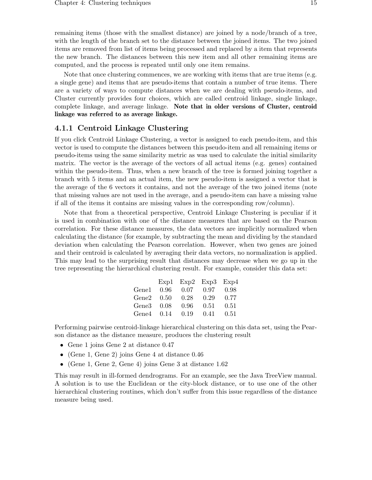remaining items (those with the smallest distance) are joined by a node/branch of a tree, with the length of the branch set to the distance between the joined items. The two joined items are removed from list of items being processed and replaced by a item that represents the new branch. The distances between this new item and all other remaining items are computed, and the process is repeated until only one item remains.

Note that once clustering commences, we are working with items that are true items (e.g. a single gene) and items that are pseudo-items that contain a number of true items. There are a variety of ways to compute distances when we are dealing with pseudo-items, and Cluster currently provides four choices, which are called centroid linkage, single linkage, complete linkage, and average linkage. Note that in older versions of Cluster, centroid linkage was referred to as average linkage.

### 4.1.1 Centroid Linkage Clustering

If you click Centroid Linkage Clustering, a vector is assigned to each pseudo-item, and this vector is used to compute the distances between this pseudo-item and all remaining items or pseudo-items using the same similarity metric as was used to calculate the initial similarity matrix. The vector is the average of the vectors of all actual items (e.g. genes) contained within the pseudo-item. Thus, when a new branch of the tree is formed joining together a branch with 5 items and an actual item, the new pseudo-item is assigned a vector that is the average of the 6 vectors it contains, and not the average of the two joined items (note that missing values are not used in the average, and a pseudo-item can have a missing value if all of the items it contains are missing values in the corresponding row/column).

Note that from a theoretical perspective, Centroid Linkage Clustering is peculiar if it is used in combination with one of the distance measures that are based on the Pearson correlation. For these distance measures, the data vectors are implicitly normalized when calculating the distance (for example, by subtracting the mean and dividing by the standard deviation when calculating the Pearson correlation. However, when two genes are joined and their centroid is calculated by averaging their data vectors, no normalization is applied. This may lead to the surprising result that distances may decrease when we go up in the tree representing the hierarchical clustering result. For example, consider this data set:

|                        |          | $Exp1$ $Exp2$ $Exp3$ $Exp4$ |      |      |
|------------------------|----------|-----------------------------|------|------|
| $\operatorname{Gene1}$ | $0.96\,$ | 0.07                        | 0.97 | 0.98 |
| $\operatorname{Gene2}$ | 0.50     | 0.28                        | 0.29 | 0.77 |
| $\operatorname{Gene3}$ | 0.08     | 0.96                        | 0.51 | 0.51 |
| $Gene4$ $0.14$         |          | 0.19                        | 0.41 | 0.51 |

Performing pairwise centroid-linkage hierarchical clustering on this data set, using the Pearson distance as the distance measure, produces the clustering result

- Gene 1 joins Gene 2 at distance 0.47
- (Gene 1, Gene 2) joins Gene 4 at distance 0.46
- (Gene 1, Gene 2, Gene 4) joins Gene 3 at distance 1.62

This may result in ill-formed dendrograms. For an example, see the Java TreeView manual. A solution is to use the Euclidean or the city-block distance, or to use one of the other hierarchical clustering routines, which don't suffer from this issue regardless of the distance measure being used.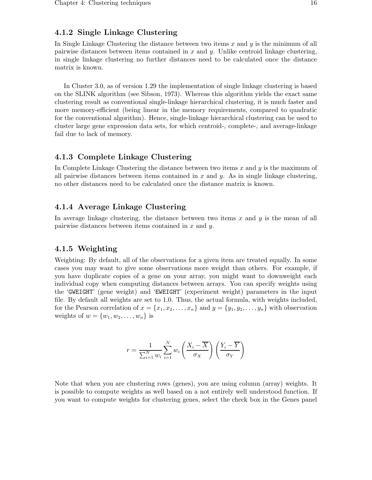## 4.1.2 Single Linkage Clustering

In Single Linkage Clustering the distance between two items  $x$  and  $y$  is the minimum of all pairwise distances between items contained in  $x$  and  $y$ . Unlike centroid linkage clustering, in single linkage clustering no further distances need to be calculated once the distance matrix is known.

In Cluster 3.0, as of version 1.29 the implementation of single linkage clustering is based on the SLINK algorithm (see Sibson, 1973). Whereas this algorithm yields the exact same clustering result as conventional single-linkage hierarchical clustering, it is much faster and more memory-efficient (being linear in the memory requirements, compared to quadratic for the conventional algorithm). Hence, single-linkage hierarchical clustering can be used to cluster large gene expression data sets, for which centroid-, complete-, and average-linkage fail due to lack of memory.

### 4.1.3 Complete Linkage Clustering

In Complete Linkage Clustering the distance between two items  $x$  and  $y$  is the maximum of all pairwise distances between items contained in  $x$  and  $y$ . As in single linkage clustering, no other distances need to be calculated once the distance matrix is known.

### 4.1.4 Average Linkage Clustering

In average linkage clustering, the distance between two items  $x$  and  $y$  is the mean of all pairwise distances between items contained in  $x$  and  $y$ .

#### 4.1.5 Weighting

Weighting: By default, all of the observations for a given item are treated equally. In some cases you may want to give some observations more weight than others. For example, if you have duplicate copies of a gene on your array, you might want to downweight each individual copy when computing distances between arrays. You can specify weights using the 'GWEIGHT' (gene weight) and 'EWEIGHT' (experiment weight) parameters in the input file. By default all weights are set to 1.0. Thus, the actual formula, with weights included, for the Pearson correlation of  $x = \{x_1, x_2, \ldots, x_n\}$  and  $y = \{y_1, y_2, \ldots, y_n\}$  with observation weights of  $w = \{w_1, w_2, \ldots, w_n\}$  is

$$
r = \frac{1}{\sum_{i=1}^{N} w_i} \sum_{i=1}^{N} w_i \left(\frac{X_i - \overline{X}}{\sigma_X}\right) \left(\frac{Y_i - \overline{Y}}{\sigma_Y}\right)
$$

Note that when you are clustering rows (genes), you are using column (array) weights. It is possible to compute weights as well based on a not entirely well understood function. If you want to compute weights for clustering genes, select the check box in the Genes panel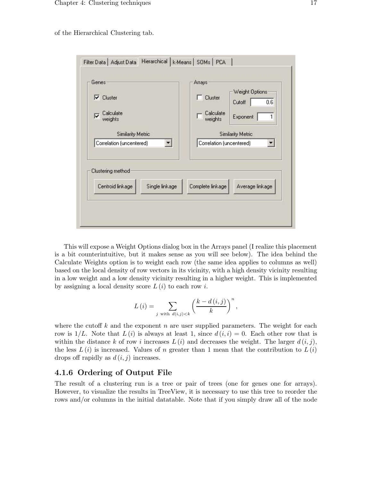of the Hierarchical Clustering tab.

| Cluster<br>⊽<br>Calculate<br>⊽                                       | Arrays<br>Weight Options<br>Cluster<br>0.6<br>Cutoff<br>Calculate<br>1      |
|----------------------------------------------------------------------|-----------------------------------------------------------------------------|
| weights<br><b>Similarity Metric</b><br>Correlation (uncentered)<br>▼ | Exponent<br>weights<br><b>Similarity Metric</b><br>Correlation (uncentered) |
|                                                                      |                                                                             |
| Clustering method                                                    |                                                                             |

This will expose a Weight Options dialog box in the Arrays panel (I realize this placement is a bit counterintuitive, but it makes sense as you will see below). The idea behind the Calculate Weights option is to weight each row (the same idea applies to columns as well) based on the local density of row vectors in its vicinity, with a high density vicinity resulting in a low weight and a low density vicinity resulting in a higher weight. This is implemented by assigning a local density score  $L(i)$  to each row i.

$$
L(i) = \sum_{j \text{ with } d(i,j) < k} \left(\frac{k - d(i,j)}{k}\right)^n,
$$

where the cutoff k and the exponent n are user supplied parameters. The weight for each row is  $1/L$ . Note that  $L(i)$  is always at least 1, since  $d(i, i) = 0$ . Each other row that is within the distance k of row i increases  $L(i)$  and decreases the weight. The larger  $d(i, j)$ , the less  $L(i)$  is increased. Values of n greater than 1 mean that the contribution to  $L(i)$ drops off rapidly as  $d(i, j)$  increases.

#### 4.1.6 Ordering of Output File

The result of a clustering run is a tree or pair of trees (one for genes one for arrays). However, to visualize the results in TreeView, it is necessary to use this tree to reorder the rows and/or columns in the initial datatable. Note that if you simply draw all of the node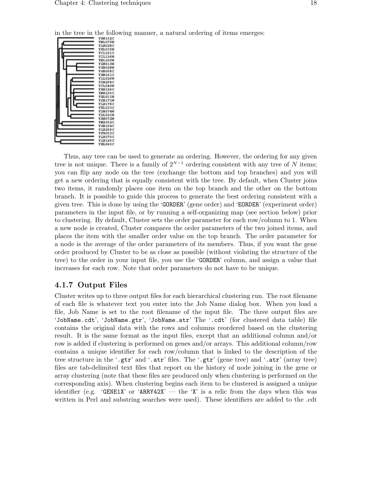

in the tree in the following manner, a natural ordering of items emerges:

Thus, any tree can be used to generate an ordering. However, the ordering for any given tree is not unique. There is a family of  $2^{N-1}$  ordering consistent with any tree of N items; you can flip any node on the tree (exchange the bottom and top branches) and you will get a new ordering that is equally consistent with the tree. By default, when Cluster joins two items, it randomly places one item on the top branch and the other on the bottom branch. It is possible to guide this process to generate the best ordering consistent with a given tree. This is done by using the 'GORDER' (gene order) and 'EORDER' (experiment order) parameters in the input file, or by running a self-organizing map (see section below) prior to clustering. By default, Cluster sets the order parameter for each row/column to 1. When a new node is created, Cluster compares the order parameters of the two joined items, and places the item with the smaller order value on the top branch. The order parameter for a node is the average of the order parameters of its members. Thus, if you want the gene order produced by Cluster to be as close as possible (without violating the structure of the tree) to the order in your input file, you use the 'GORDER' column, and assign a value that increases for each row. Note that order parameters do not have to be unique.

#### 4.1.7 Output Files

Cluster writes up to three output files for each hierarchical clustering run. The root filename of each file is whatever text you enter into the Job Name dialog box. When you load a file, Job Name is set to the root filename of the input file. The three output files are 'JobName.cdt', 'JobName.gtr', 'JobName.atr' The '.cdt' (for clustered data table) file contains the original data with the rows and columns reordered based on the clustering result. It is the same format as the input files, except that an additional column and/or row is added if clustering is performed on genes and/or arrays. This additional column/row contains a unique identifier for each row/column that is linked to the description of the tree structure in the '.gtr' and '.atr' files. The '.gtr' (gene tree) and '.atr' (array tree) files are tab-delimited text files that report on the history of node joining in the gene or array clustering (note that these files are produced only when clustering is performed on the corresponding axis). When clustering begins each item to be clustered is assigned a unique identifier (e.g. 'GENE1X' or 'ARRY42X' — the 'X' is a relic from the days when this was written in Perl and substring searches were used). These identifiers are added to the .cdt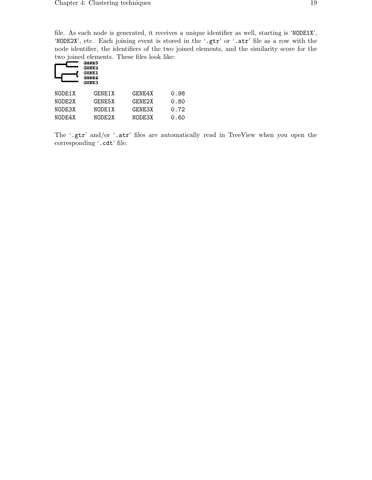file. As each node is generated, it receives a unique identifier as well, starting is 'NODE1X', 'NODE2X', etc. Each joining event is stored in the '.gtr' or '.atr' file as a row with the node identifier, the identifiers of the two joined elements, and the similarity score for the two joined elements. These files look like:

|        | Gebe5<br>GENE2<br><b>GENE1</b><br><b>GENE3</b> |        |      |
|--------|------------------------------------------------|--------|------|
| NODE1X | GENE1X                                         | GENE4X | 0.98 |
| NODE2X | <b>GENE5X</b>                                  | GENE2X | 0.80 |
| NODE3X | NODE1X                                         | GENE3X | 0.72 |
| NODE4X | NODE2X                                         | NODE3X | 0.60 |

The '.gtr' and/or '.atr' files are automatically read in TreeView when you open the corresponding '.cdt' file.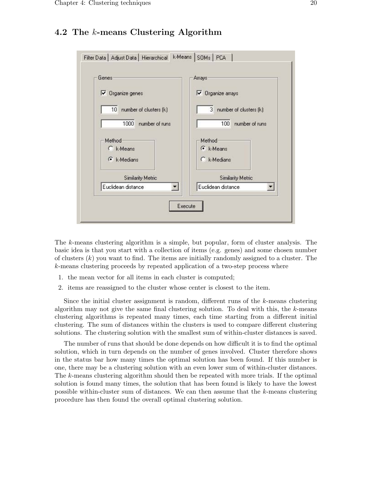## 4.2 The k-means Clustering Algorithm



The k-means clustering algorithm is a simple, but popular, form of cluster analysis. The basic idea is that you start with a collection of items (e.g. genes) and some chosen number of clusters  $(k)$  you want to find. The items are initially randomly assigned to a cluster. The k-means clustering proceeds by repeated application of a two-step process where

- 1. the mean vector for all items in each cluster is computed;
- 2. items are reassigned to the cluster whose center is closest to the item.

Since the initial cluster assignment is random, different runs of the k-means clustering algorithm may not give the same final clustering solution. To deal with this, the  $k$ -means clustering algorithms is repeated many times, each time starting from a different initial clustering. The sum of distances within the clusters is used to compare different clustering solutions. The clustering solution with the smallest sum of within-cluster distances is saved.

The number of runs that should be done depends on how difficult it is to find the optimal solution, which in turn depends on the number of genes involved. Cluster therefore shows in the status bar how many times the optimal solution has been found. If this number is one, there may be a clustering solution with an even lower sum of within-cluster distances. The k-means clustering algorithm should then be repeated with more trials. If the optimal solution is found many times, the solution that has been found is likely to have the lowest possible within-cluster sum of distances. We can then assume that the  $k$ -means clustering procedure has then found the overall optimal clustering solution.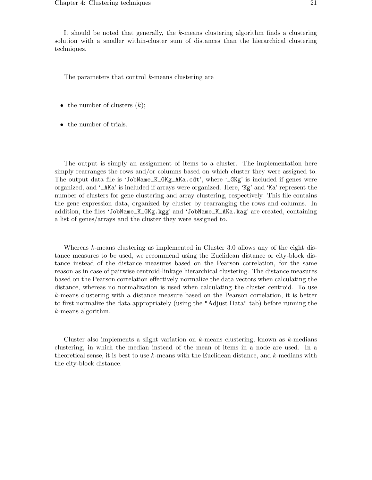It should be noted that generally, the k-means clustering algorithm finds a clustering solution with a smaller within-cluster sum of distances than the hierarchical clustering techniques.

The parameters that control k-means clustering are

- the number of clusters  $(k)$ ;
- the number of trials.

The output is simply an assignment of items to a cluster. The implementation here simply rearranges the rows and/or columns based on which cluster they were assigned to. The output data file is 'JobName\_K\_GKg\_AKa.cdt', where '\_GKg' is included if genes were organized, and '\_AKa' is included if arrays were organized. Here, 'Kg' and 'Ka' represent the number of clusters for gene clustering and array clustering, respectively. This file contains the gene expression data, organized by cluster by rearranging the rows and columns. In addition, the files 'JobName\_K\_GKg.kgg' and 'JobName\_K\_AKa.kag' are created, containing a list of genes/arrays and the cluster they were assigned to.

Whereas k-means clustering as implemented in Cluster 3.0 allows any of the eight distance measures to be used, we recommend using the Euclidean distance or city-block distance instead of the distance measures based on the Pearson correlation, for the same reason as in case of pairwise centroid-linkage hierarchical clustering. The distance measures based on the Pearson correlation effectively normalize the data vectors when calculating the distance, whereas no normalization is used when calculating the cluster centroid. To use k-means clustering with a distance measure based on the Pearson correlation, it is better to first normalize the data appropriately (using the "Adjust Data" tab) before running the k-means algorithm.

Cluster also implements a slight variation on  $k$ -means clustering, known as  $k$ -medians clustering, in which the median instead of the mean of items in a node are used. In a theoretical sense, it is best to use  $k$ -means with the Euclidean distance, and  $k$ -medians with the city-block distance.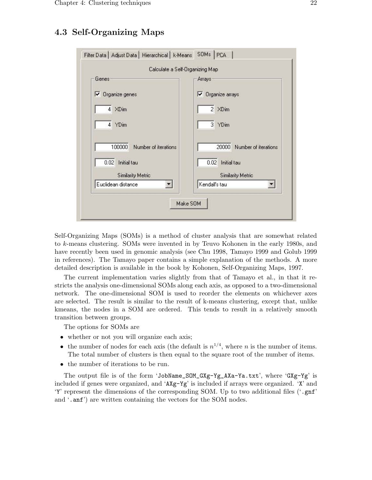## 4.3 Self-Organizing Maps



Self-Organizing Maps (SOMs) is a method of cluster analysis that are somewhat related to k-means clustering. SOMs were invented in by Teuvo Kohonen in the early 1980s, and have recently been used in genomic analysis (see Chu 1998, Tamayo 1999 and Golub 1999 in references). The Tamayo paper contains a simple explanation of the methods. A more detailed description is available in the book by Kohonen, Self-Organizing Maps, 1997.

The current implementation varies slightly from that of Tamayo et al., in that it restricts the analysis one-dimensional SOMs along each axis, as opposed to a two-dimensional network. The one-dimensional SOM is used to reorder the elements on whichever axes are selected. The result is similar to the result of k-means clustering, except that, unlike kmeans, the nodes in a SOM are ordered. This tends to result in a relatively smooth transition between groups.

The options for SOMs are

- whether or not you will organize each axis;
- the number of nodes for each axis (the default is  $n^{1/4}$ , where *n* is the number of items. The total number of clusters is then equal to the square root of the number of items.
- the number of iterations to be run.

The output file is of the form 'JobName\_SOM\_GXg-Yg\_AXa-Ya.txt', where 'GXg-Yg' is included if genes were organized, and 'AXg-Yg' is included if arrays were organized. 'X' and 'Y' represent the dimensions of the corresponding SOM. Up to two additional files ('.gnf' and '.anf') are written containing the vectors for the SOM nodes.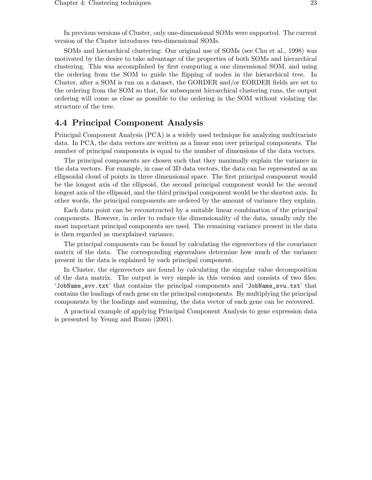In previous versions of Cluster, only one-dimensional SOMs were supported. The current version of the Cluster introduces two-dimensional SOMs.

SOMs and hierarchical clustering: Our original use of SOMs (see Chu et al., 1998) was motivated by the desire to take advantage of the properties of both SOMs and hierarchical clustering. This was accomplished by first computing a one dimensional SOM, and using the ordering from the SOM to guide the flipping of nodes in the hierarchical tree. In Cluster, after a SOM is run on a dataset, the GORDER and/or EORDER fields are set to the ordering from the SOM so that, for subsequent hierarchical clustering runs, the output ordering will come as close as possible to the ordering in the SOM without violating the structure of the tree.

## 4.4 Principal Component Analysis

Principal Component Analysis (PCA) is a widely used technique for analyzing multivariate data. In PCA, the data vectors are written as a linear sum over principal components. The number of principal components is equal to the number of dimensions of the data vectors.

The principal components are chosen such that they maximally explain the variance in the data vectors. For example, in case of 3D data vectors, the data can be represented as an ellipsoidal cloud of points in three dimensional space. The first principal component would be the longest axis of the ellipsoid, the second principal component would be the second longest axis of the ellipsoid, and the third principal component would be the shortest axis. In other words, the principal components are ordered by the amount of variance they explain.

Each data point can be reconstructed by a suitable linear combination of the principal components. However, in order to reduce the dimensionality of the data, usually only the most important principal components are used. The remaining variance present in the data is then regarded as unexplained variance.

The principal components can be found by calculating the eigenvectors of the covariance matrix of the data. The corresponding eigenvalues determine how much of the variance present in the data is explained by each principal component.

In Cluster, the eigenvectors are found by calculating the singular value decomposition of the data matrix. The output is very simple in this version and consists of two files: 'JobName\_svv.txt' that contains the principal components and 'JobName\_svu.txt' that contains the loadings of each gene on the principal components. By multiplying the principal components by the loadings and summing, the data vector of each gene can be recovered.

A practical example of applying Principal Component Analysis to gene expression data is presented by Yeung and Ruzzo (2001).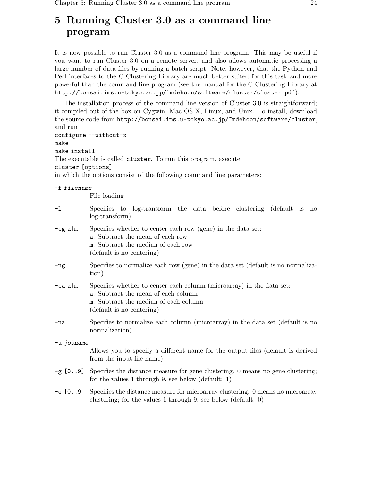## 5 Running Cluster 3.0 as a command line program

It is now possible to run Cluster 3.0 as a command line program. This may be useful if you want to run Cluster 3.0 on a remote server, and also allows automatic processing a large number of data files by running a batch script. Note, however, that the Python and Perl interfaces to the C Clustering Library are much better suited for this task and more powerful than the command line program (see the manual for the C Clustering Library at http://bonsai.ims.u-tokyo.ac.jp/~mdehoon/software/cluster/cluster.pdf).

```
The installation process of the command line version of Cluster 3.0 is straightforward;
it compiled out of the box on Cygwin, Mac OS X, Linux, and Unix. To install, download
the source code from http://bonsai.ims.u-tokyo.ac.jp/~mdehoon/software/cluster,
and run
configure --without-x
make
make install
The executable is called cluster. To run this program, execute
cluster [options]
in which the options consist of the following command line parameters:
-f filename
           File loading
-l Specifies to log-transform the data before clustering (default is no
           log-transform)
-cg a|m Specifies whether to center each row (gene) in the data set:
           a: Subtract the mean of each row
           m: Subtract the median of each row
```

```
(default is no centering)
```
- -ng Specifies to normalize each row (gene) in the data set (default is no normalization)
- -ca a|m Specifies whether to center each column (microarray) in the data set: a: Subtract the mean of each column m: Subtract the median of each column (default is no centering)
- -na Specifies to normalize each column (microarray) in the data set (default is no normalization)

```
-u jobname
           Allows you to specify a different name for the output files (default is derived
           from the input file name)
```
- $-\mathbf{g}$  [0..9] Specifies the distance measure for gene clustering. 0 means no gene clustering; for the values 1 through 9, see below (default: 1)
- -e [0..9] Specifies the distance measure for microarray clustering. 0 means no microarray clustering; for the values 1 through 9, see below (default: 0)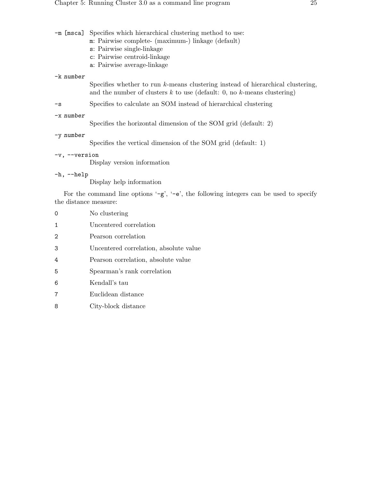|                       | -m [msca] Specifies which hierarchical clustering method to use:<br>m: Pairwise complete- (maximum-) linkage (default)<br>s: Pairwise single-linkage<br>c: Pairwise centroid-linkage<br>a: Pairwise average-linkage |
|-----------------------|---------------------------------------------------------------------------------------------------------------------------------------------------------------------------------------------------------------------|
| -k number             |                                                                                                                                                                                                                     |
|                       | Specifies whether to run $k$ -means clustering instead of hierarchical clustering,<br>and the number of clusters $k$ to use (default: 0, no $k$ -means clustering)                                                  |
| $-\mathbf{s}$         | Specifies to calculate an SOM instead of hierarchical clustering                                                                                                                                                    |
| $-x$ number           | Specifies the horizontal dimension of the SOM grid (default: 2)                                                                                                                                                     |
| -y number             | Specifies the vertical dimension of the SOM grid (default: 1)                                                                                                                                                       |
| $-v, -version$        | Display version information                                                                                                                                                                                         |
| $-h, -h$ elp          | Display help information                                                                                                                                                                                            |
| the distance measure: | For the command line options $-\mathbf{g}'$ , $-\mathbf{e}'$ , the following integers can be used to specify                                                                                                        |

| $\Omega$          | No clustering                          |
|-------------------|----------------------------------------|
| 1                 | Uncentered correlation                 |
| $\mathcal{D}_{1}$ | Pearson correlation                    |
| 3                 | Uncentered correlation, absolute value |
| 4                 | Pearson correlation, absolute value    |
| 5                 | Spearman's rank correlation            |
| 6                 | Kendall's tau                          |
| 7                 | Euclidean distance                     |
| 8                 | City-block distance                    |
|                   |                                        |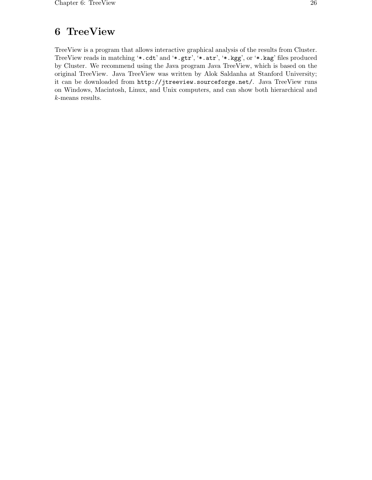## 6 TreeView

TreeView is a program that allows interactive graphical analysis of the results from Cluster. TreeView reads in matching '\*.cdt' and '\*.gtr', '\*.atr', '\*.kgg', or '\*.kag' files produced by Cluster. We recommend using the Java program Java TreeView, which is based on the original TreeView. Java TreeView was written by Alok Saldanha at Stanford University; it can be downloaded from http://jtreeview.sourceforge.net/. Java TreeView runs on Windows, Macintosh, Linux, and Unix computers, and can show both hierarchical and k-means results.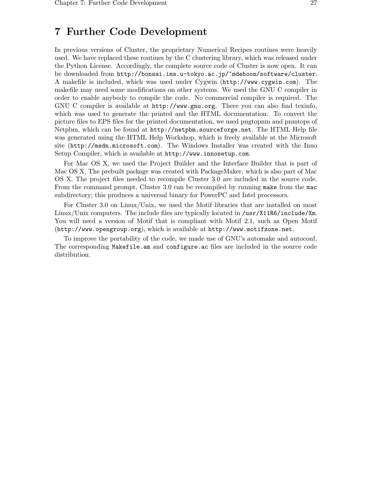## 7 Further Code Development

In previous versions of Cluster, the proprietary Numerical Recipes routines were heavily used. We have replaced these routines by the C clustering library, which was released under the Python License. Accordingly, the complete source code of Cluster is now open. It can be downloaded from http://bonsai.ims.u-tokyo.ac.jp/~mdehoon/software/cluster. A makefile is included, which was used under Cygwin (http://www.cygwin.com). The makefile may need some modifications on other systems. We used the GNU C compiler in order to enable anybody to compile the code. No commercial compiler is required. The GNU C compiler is available at http://www.gnu.org. There you can also find texinfo, which was used to generate the printed and the HTML documentation. To convert the picture files to EPS files for the printed documentation, we used pngtopnm and pnmtops of Netpbm, which can be found at http://netpbm.sourceforge.net. The HTML Help file was generated using the HTML Help Workshop, which is freely available at the Microsoft site (http://msdn.microsoft.com). The Windows Installer was created with the Inno Setup Compiler, which is available at http://www.innosetup.com.

For Mac OS X, we used the Project Builder and the Interface Builder that is part of Mac OS X. The prebuilt package was created with PackageMaker, which is also part of Mac OS X. The project files needed to recompile Cluster 3.0 are included in the source code. From the command prompt, Cluster 3.0 can be recompiled by running make from the mac subdirectory; this produces a universal binary for PowerPC and Intel processors.

For Cluster 3.0 on Linux/Unix, we used the Motif libraries that are installed on most Linux/Unix computers. The include files are typically located in /usr/X11R6/include/Xm. You will need a version of Motif that is compliant with Motif 2.1, such as Open Motif (http://www.opengroup.org), which is available at http://www.motifzone.net.

To improve the portability of the code, we made use of GNU's automake and autoconf. The corresponding Makefile.am and configure.ac files are included in the source code distribution.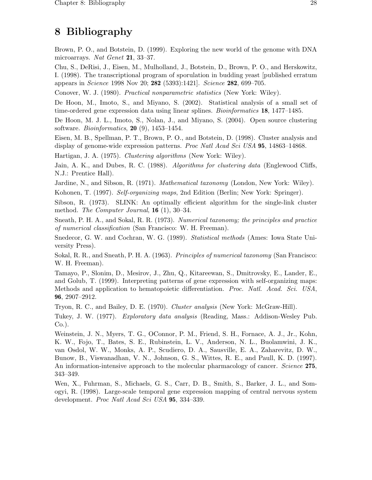## 8 Bibliography

Brown, P. O., and Botstein, D. (1999). Exploring the new world of the genome with DNA microarrays. Nat Genet 21, 33-37.

Chu, S., DeRisi, J., Eisen, M., Mulholland, J., Botstein, D., Brown, P. O., and Herskowitz, I. (1998). The transcriptional program of sporulation in budding yeast [published erratum appears in *Science* 1998 Nov 20; 282 (5393):1421]. Science 282, 699-705.

Conover, W. J. (1980). Practical nonparametric statistics (New York: Wiley).

De Hoon, M., Imoto, S., and Miyano, S. (2002). Statistical analysis of a small set of time-ordered gene expression data using linear splines. Bioinformatics 18, 1477–1485.

De Hoon, M. J. L., Imoto, S., Nolan, J., and Miyano, S. (2004). Open source clustering software. *Bioinformatics*, **20** (9), 1453–1454.

Eisen, M. B., Spellman, P. T., Brown, P. O., and Botstein, D. (1998). Cluster analysis and display of genome-wide expression patterns. Proc Natl Acad Sci USA 95, 14863-14868.

Hartigan, J. A. (1975). Clustering algorithms (New York: Wiley).

Jain, A. K., and Dubes, R. C. (1988). Algorithms for clustering data (Englewood Cliffs, N.J.: Prentice Hall).

Jardine, N., and Sibson, R. (1971). Mathematical taxonomy (London, New York: Wiley).

Kohonen, T. (1997). Self-organizing maps, 2nd Edition (Berlin; New York: Springer).

Sibson, R. (1973). SLINK: An optimally efficient algorithm for the single-link cluster method. The Computer Journal,  $16(1)$ ,  $30-34$ .

Sneath, P. H. A., and Sokal, R. R. (1973). Numerical taxonomy; the principles and practice of numerical classification (San Francisco: W. H. Freeman).

Snedecor, G. W. and Cochran, W. G. (1989). *Statistical methods* (Ames: Iowa State University Press).

Sokal, R. R., and Sneath, P. H. A. (1963). *Principles of numerical taxonomy* (San Francisco: W. H. Freeman).

Tamayo, P., Slonim, D., Mesirov, J., Zhu, Q., Kitareewan, S., Dmitrovsky, E., Lander, E., and Golub, T. (1999). Interpreting patterns of gene expression with self-organizing maps: Methods and application to hematopoietic differentiation. Proc. Natl. Acad. Sci. USA, 96, 2907–2912.

Tryon, R. C., and Bailey, D. E. (1970). Cluster analysis (New York: McGraw-Hill).

Tukey, J. W. (1977). Exploratory data analysis (Reading, Mass.: Addison-Wesley Pub. Co.).

Weinstein, J. N., Myers, T. G., OConnor, P. M., Friend, S. H., Fornace, A. J., Jr., Kohn, K. W., Fojo, T., Bates, S. E., Rubinstein, L. V., Anderson, N. L., Buolamwini, J. K., van Osdol, W. W., Monks, A. P., Scudiero, D. A., Sausville, E. A., Zaharevitz, D. W., Bunow, B., Viswanadhan, V. N., Johnson, G. S., Wittes, R. E., and Paull, K. D. (1997). An information-intensive approach to the molecular pharmacology of cancer. Science 275, 343–349.

Wen, X., Fuhrman, S., Michaels, G. S., Carr, D. B., Smith, S., Barker, J. L., and Somogyi, R. (1998). Large-scale temporal gene expression mapping of central nervous system development. Proc Natl Acad Sci USA 95, 334–339.